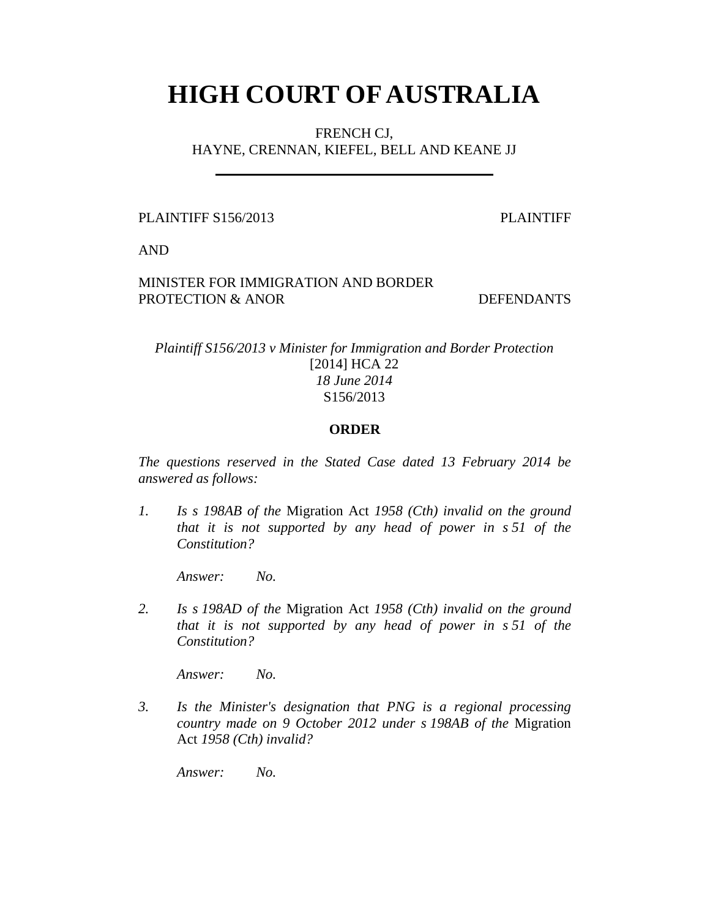# **HIGH COURT OF AUSTRALIA**

FRENCH CJ, HAYNE, CRENNAN, KIEFEL, BELL AND KEANE JJ

PLAINTIFF S156/2013 PLAINTIFF

AND

# MINISTER FOR IMMIGRATION AND BORDER PROTECTION & ANOR DEFENDANTS

# *Plaintiff S156/2013 v Minister for Immigration and Border Protection*  [2014] HCA 22 *18 June 2014*  S156/2013

# **ORDER**

*The questions reserved in the Stated Case dated 13 February 2014 be answered as follows:* 

*1. Is s 198AB of the* Migration Act *1958 (Cth) invalid on the ground that it is not supported by any head of power in s 51 of the Constitution?* 

 *Answer: No.* 

*2. Is s 198AD of the* Migration Act *1958 (Cth) invalid on the ground that it is not supported by any head of power in s 51 of the Constitution?* 

 *Answer: No.* 

*3. Is the Minister's designation that PNG is a regional processing country made on 9 October 2012 under s 198AB of the* Migration Act *1958 (Cth) invalid?* 

 *Answer: No.*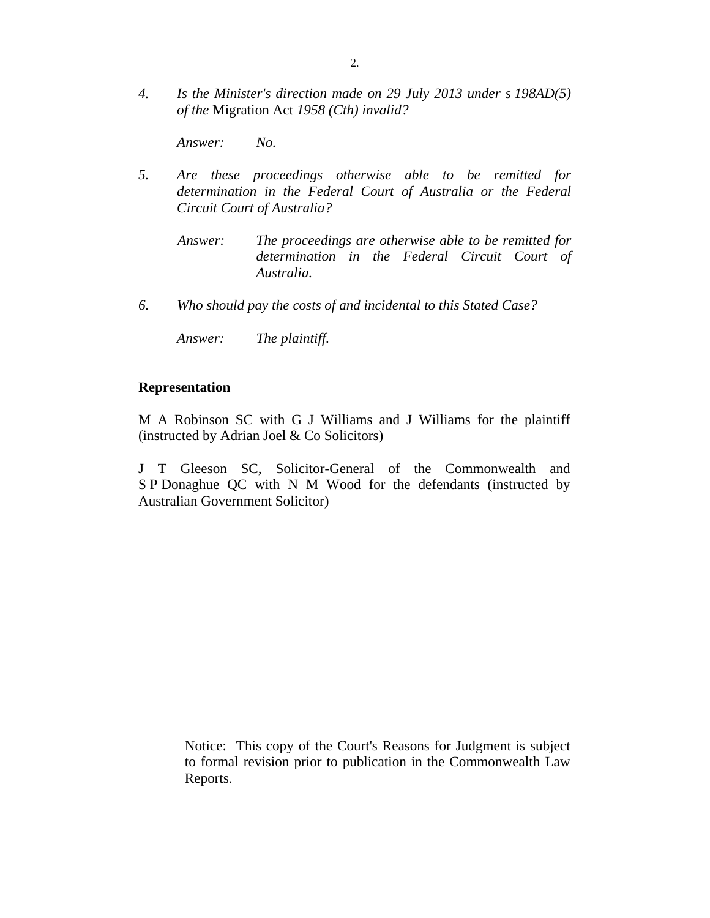*4. Is the Minister's direction made on 29 July 2013 under s 198AD(5) of the* Migration Act *1958 (Cth) invalid?* 

 *Answer: No.* 

- *5. Are these proceedings otherwise able to be remitted for determination in the Federal Court of Australia or the Federal Circuit Court of Australia?* 
	- *Answer: The proceedings are otherwise able to be remitted for determination in the Federal Circuit Court of Australia.*
- *6. Who should pay the costs of and incidental to this Stated Case?*

 *Answer: The plaintiff.* 

#### **Representation**

M A Robinson SC with G J Williams and J Williams for the plaintiff (instructed by Adrian Joel & Co Solicitors)

J T Gleeson SC, Solicitor-General of the Commonwealth and S P Donaghue QC with N M Wood for the defendants (instructed by Australian Government Solicitor)

> Notice: This copy of the Court's Reasons for Judgment is subject to formal revision prior to publication in the Commonwealth Law Reports.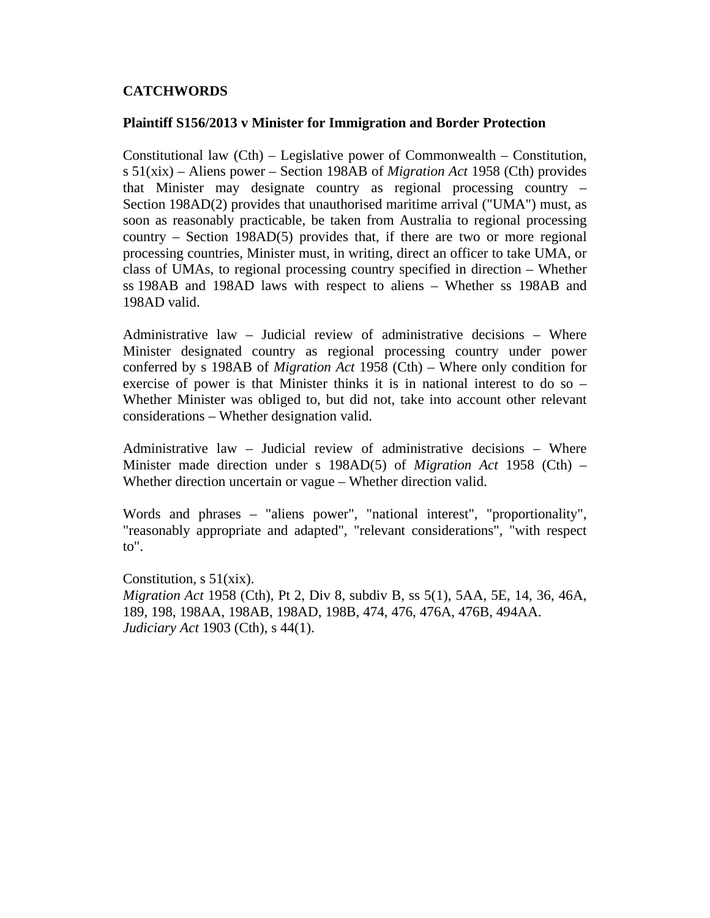# **CATCHWORDS**

#### **Plaintiff S156/2013 v Minister for Immigration and Border Protection**

Constitutional law (Cth) – Legislative power of Commonwealth – Constitution, s 51(xix) – Aliens power – Section 198AB of *Migration Act* 1958 (Cth) provides that Minister may designate country as regional processing country – Section 198AD(2) provides that unauthorised maritime arrival ("UMA") must, as soon as reasonably practicable, be taken from Australia to regional processing country – Section 198AD(5) provides that, if there are two or more regional processing countries, Minister must, in writing, direct an officer to take UMA, or class of UMAs, to regional processing country specified in direction – Whether ss 198AB and 198AD laws with respect to aliens – Whether ss 198AB and 198AD valid.

Administrative law – Judicial review of administrative decisions – Where Minister designated country as regional processing country under power conferred by s 198AB of *Migration Act* 1958 (Cth) – Where only condition for exercise of power is that Minister thinks it is in national interest to do so – Whether Minister was obliged to, but did not, take into account other relevant considerations – Whether designation valid.

Administrative law – Judicial review of administrative decisions – Where Minister made direction under s 198AD(5) of *Migration Act* 1958 (Cth) – Whether direction uncertain or vague – Whether direction valid.

Words and phrases – "aliens power", "national interest", "proportionality", "reasonably appropriate and adapted", "relevant considerations", "with respect to".

Constitution,  $s \frac{51}{x}$ . *Migration Act* 1958 (Cth), Pt 2, Div 8, subdiv B, ss 5(1), 5AA, 5E, 14, 36, 46A, 189, 198, 198AA, 198AB, 198AD, 198B, 474, 476, 476A, 476B, 494AA. *Judiciary Act* 1903 (Cth), s 44(1).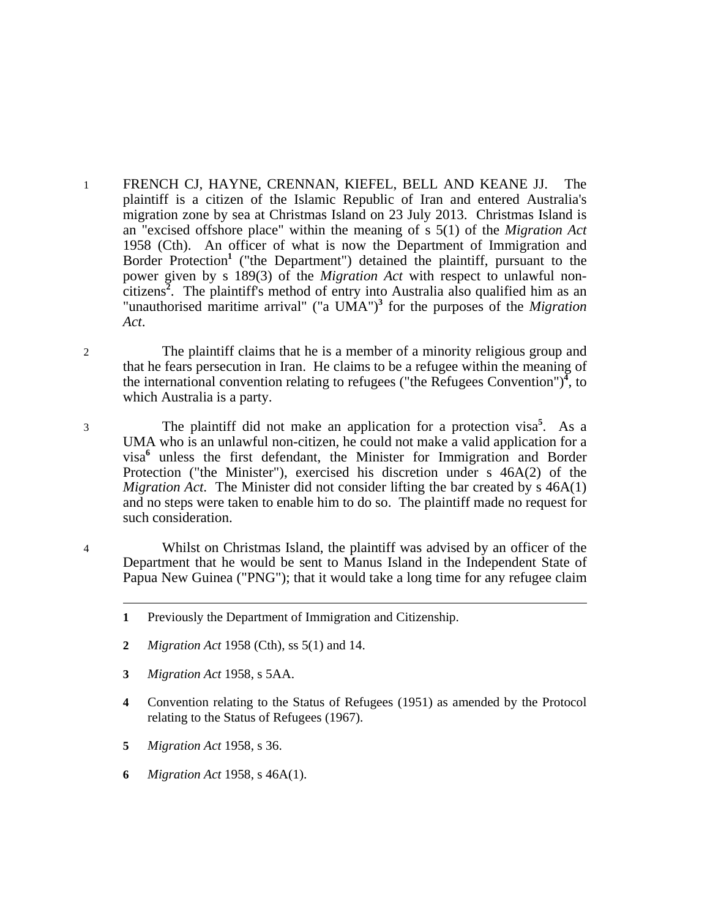- 1 FRENCH CJ, HAYNE, CRENNAN, KIEFEL, BELL AND KEANE JJ. The plaintiff is a citizen of the Islamic Republic of Iran and entered Australia's migration zone by sea at Christmas Island on 23 July 2013. Christmas Island is an "excised offshore place" within the meaning of s 5(1) of the *Migration Act* 1958 (Cth). An officer of what is now the Department of Immigration and Border Protection<sup>1</sup> ("the Department") detained the plaintiff, pursuant to the power given by s 189(3) of the *Migration Act* with respect to unlawful noncitizens**<sup>2</sup>** . The plaintiff's method of entry into Australia also qualified him as an "unauthorised maritime arrival" ("a UMA")**<sup>3</sup>** for the purposes of the *Migration Act*.
- 2 The plaintiff claims that he is a member of a minority religious group and that he fears persecution in Iran. He claims to be a refugee within the meaning of the international convention relating to refugees ("the Refugees Convention") $^4$ , to which Australia is a party.
- 3 The plaintiff did not make an application for a protection visa**<sup>5</sup>** . As a UMA who is an unlawful non-citizen, he could not make a valid application for a visa**<sup>6</sup>** unless the first defendant, the Minister for Immigration and Border Protection ("the Minister"), exercised his discretion under s 46A(2) of the *Migration Act*. The Minister did not consider lifting the bar created by s 46A(1) and no steps were taken to enable him to do so. The plaintiff made no request for such consideration.
- 4 Whilst on Christmas Island, the plaintiff was advised by an officer of the Department that he would be sent to Manus Island in the Independent State of Papua New Guinea ("PNG"); that it would take a long time for any refugee claim

- **2** *Migration Act* 1958 (Cth), ss 5(1) and 14.
- **3** *Migration Act* 1958, s 5AA.

- **4** Convention relating to the Status of Refugees (1951) as amended by the Protocol relating to the Status of Refugees (1967).
- **5** *Migration Act* 1958, s 36.
- **6** *Migration Act* 1958, s 46A(1).

**<sup>1</sup>** Previously the Department of Immigration and Citizenship.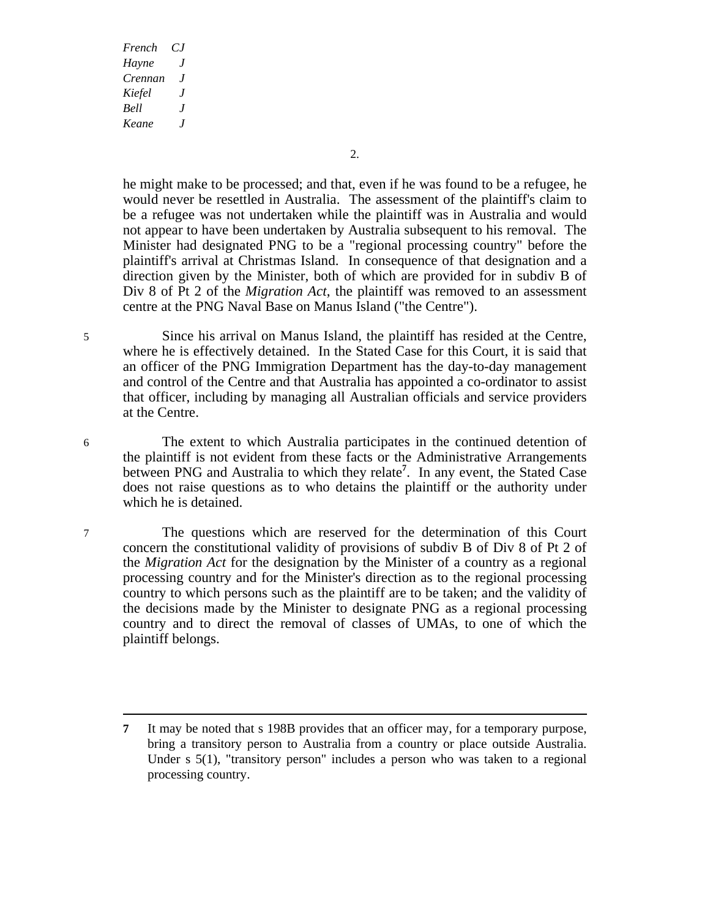2.

he might make to be processed; and that, even if he was found to be a refugee, he would never be resettled in Australia. The assessment of the plaintiff's claim to be a refugee was not undertaken while the plaintiff was in Australia and would not appear to have been undertaken by Australia subsequent to his removal. The Minister had designated PNG to be a "regional processing country" before the plaintiff's arrival at Christmas Island. In consequence of that designation and a direction given by the Minister, both of which are provided for in subdiv B of Div 8 of Pt 2 of the *Migration Act*, the plaintiff was removed to an assessment centre at the PNG Naval Base on Manus Island ("the Centre").

5 Since his arrival on Manus Island, the plaintiff has resided at the Centre, where he is effectively detained. In the Stated Case for this Court, it is said that an officer of the PNG Immigration Department has the day-to-day management and control of the Centre and that Australia has appointed a co-ordinator to assist that officer, including by managing all Australian officials and service providers at the Centre.

6 The extent to which Australia participates in the continued detention of the plaintiff is not evident from these facts or the Administrative Arrangements between PNG and Australia to which they relate**<sup>7</sup>** . In any event, the Stated Case does not raise questions as to who detains the plaintiff or the authority under which he is detained.

7 The questions which are reserved for the determination of this Court concern the constitutional validity of provisions of subdiv B of Div 8 of Pt 2 of the *Migration Act* for the designation by the Minister of a country as a regional processing country and for the Minister's direction as to the regional processing country to which persons such as the plaintiff are to be taken; and the validity of the decisions made by the Minister to designate PNG as a regional processing country and to direct the removal of classes of UMAs, to one of which the plaintiff belongs.

**<sup>7</sup>** It may be noted that s 198B provides that an officer may, for a temporary purpose, bring a transitory person to Australia from a country or place outside Australia. Under s 5(1), "transitory person" includes a person who was taken to a regional processing country.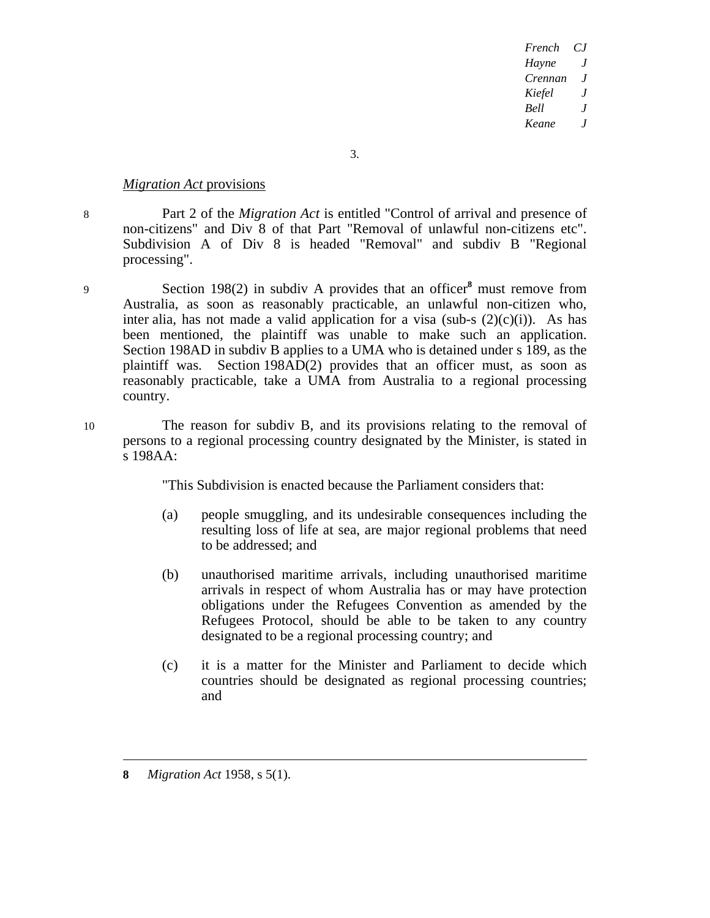3.

## *Migration Act* provisions

8 Part 2 of the *Migration Act* is entitled "Control of arrival and presence of non-citizens" and Div 8 of that Part "Removal of unlawful non-citizens etc". Subdivision A of Div 8 is headed "Removal" and subdiv B "Regional processing".

- 9 Section 198(2) in subdiv A provides that an officer**<sup>8</sup>** must remove from Australia, as soon as reasonably practicable, an unlawful non-citizen who, inter alia, has not made a valid application for a visa (sub-s  $(2)(c)(i)$ ). As has been mentioned, the plaintiff was unable to make such an application. Section 198AD in subdiv B applies to a UMA who is detained under s 189, as the plaintiff was. Section 198AD(2) provides that an officer must, as soon as reasonably practicable, take a UMA from Australia to a regional processing country.
- 10 The reason for subdiv B, and its provisions relating to the removal of persons to a regional processing country designated by the Minister, is stated in s 198AA:

"This Subdivision is enacted because the Parliament considers that:

- (a) people smuggling, and its undesirable consequences including the resulting loss of life at sea, are major regional problems that need to be addressed; and
- (b) unauthorised maritime arrivals, including unauthorised maritime arrivals in respect of whom Australia has or may have protection obligations under the Refugees Convention as amended by the Refugees Protocol, should be able to be taken to any country designated to be a regional processing country; and
- (c) it is a matter for the Minister and Parliament to decide which countries should be designated as regional processing countries; and

**8** *Migration Act* 1958, s 5(1).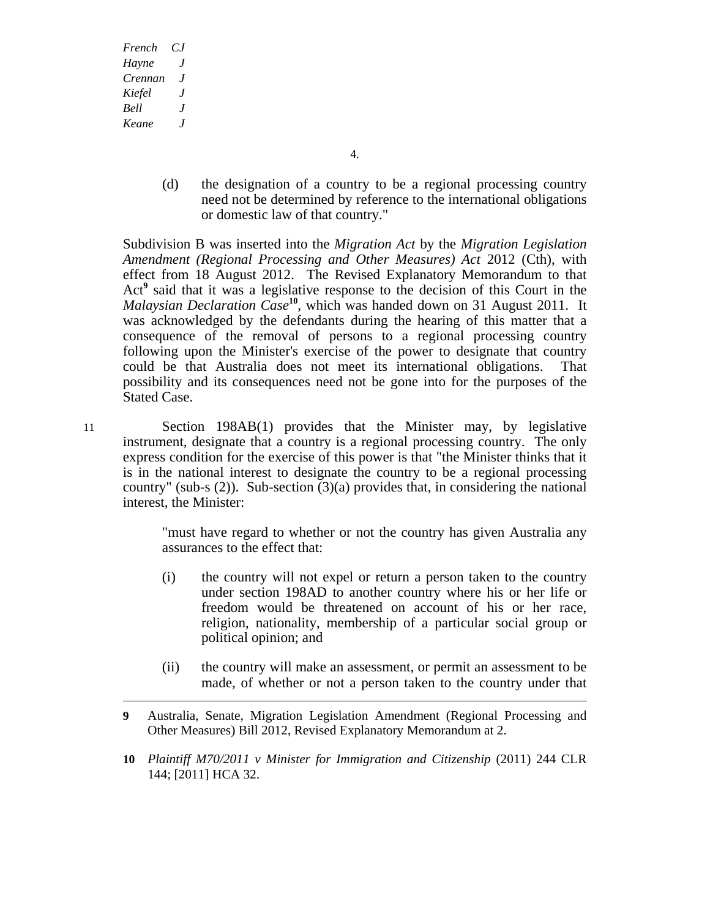4.

(d) the designation of a country to be a regional processing country need not be determined by reference to the international obligations or domestic law of that country."

Subdivision B was inserted into the *Migration Act* by the *Migration Legislation Amendment (Regional Processing and Other Measures) Act* 2012 (Cth), with effect from 18 August 2012. The Revised Explanatory Memorandum to that Act<sup>9</sup> said that it was a legislative response to the decision of this Court in the *Malaysian Declaration Case***<sup>10</sup>**, which was handed down on 31 August 2011. It was acknowledged by the defendants during the hearing of this matter that a consequence of the removal of persons to a regional processing country following upon the Minister's exercise of the power to designate that country could be that Australia does not meet its international obligations. That possibility and its consequences need not be gone into for the purposes of the Stated Case.

11 Section 198AB(1) provides that the Minister may, by legislative instrument, designate that a country is a regional processing country. The only express condition for the exercise of this power is that "the Minister thinks that it is in the national interest to designate the country to be a regional processing country" (sub-s  $(2)$ ). Sub-section  $(3)(a)$  provides that, in considering the national interest, the Minister:

> "must have regard to whether or not the country has given Australia any assurances to the effect that:

- (i) the country will not expel or return a person taken to the country under section 198AD to another country where his or her life or freedom would be threatened on account of his or her race, religion, nationality, membership of a particular social group or political opinion; and
- (ii) the country will make an assessment, or permit an assessment to be made, of whether or not a person taken to the country under that
- **9** Australia, Senate, Migration Legislation Amendment (Regional Processing and Other Measures) Bill 2012, Revised Explanatory Memorandum at 2.
- **10** *Plaintiff M70/2011 v Minister for Immigration and Citizenship* (2011) 244 CLR 144; [2011] HCA 32.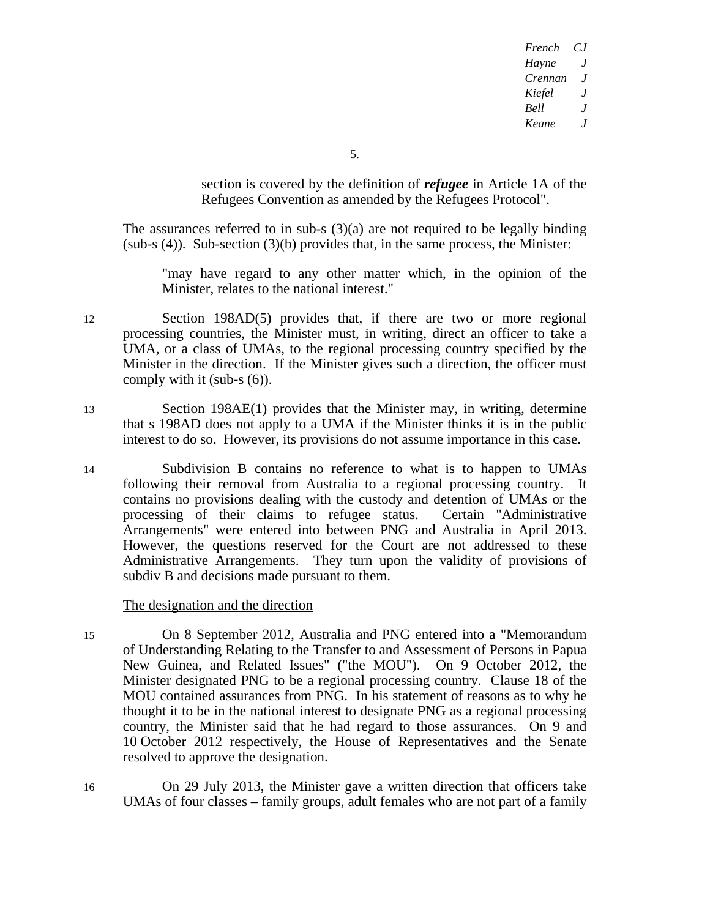5.

section is covered by the definition of *refugee* in Article 1A of the Refugees Convention as amended by the Refugees Protocol".

The assurances referred to in sub-s  $(3)(a)$  are not required to be legally binding  $(sub-s (4))$ . Sub-section  $(3)(b)$  provides that, in the same process, the Minister:

"may have regard to any other matter which, in the opinion of the Minister, relates to the national interest."

- 12 Section 198AD(5) provides that, if there are two or more regional processing countries, the Minister must, in writing, direct an officer to take a UMA, or a class of UMAs, to the regional processing country specified by the Minister in the direction. If the Minister gives such a direction, the officer must comply with it (sub-s (6)).
- 13 Section 198AE(1) provides that the Minister may, in writing, determine that s 198AD does not apply to a UMA if the Minister thinks it is in the public interest to do so. However, its provisions do not assume importance in this case.
- 14 Subdivision B contains no reference to what is to happen to UMAs following their removal from Australia to a regional processing country. It contains no provisions dealing with the custody and detention of UMAs or the processing of their claims to refugee status. Certain "Administrative Arrangements" were entered into between PNG and Australia in April 2013. However, the questions reserved for the Court are not addressed to these Administrative Arrangements. They turn upon the validity of provisions of subdiv B and decisions made pursuant to them.

## The designation and the direction

- 15 On 8 September 2012, Australia and PNG entered into a "Memorandum of Understanding Relating to the Transfer to and Assessment of Persons in Papua New Guinea, and Related Issues" ("the MOU"). On 9 October 2012, the Minister designated PNG to be a regional processing country. Clause 18 of the MOU contained assurances from PNG. In his statement of reasons as to why he thought it to be in the national interest to designate PNG as a regional processing country, the Minister said that he had regard to those assurances. On 9 and 10 October 2012 respectively, the House of Representatives and the Senate resolved to approve the designation.
- 16 On 29 July 2013, the Minister gave a written direction that officers take UMAs of four classes – family groups, adult females who are not part of a family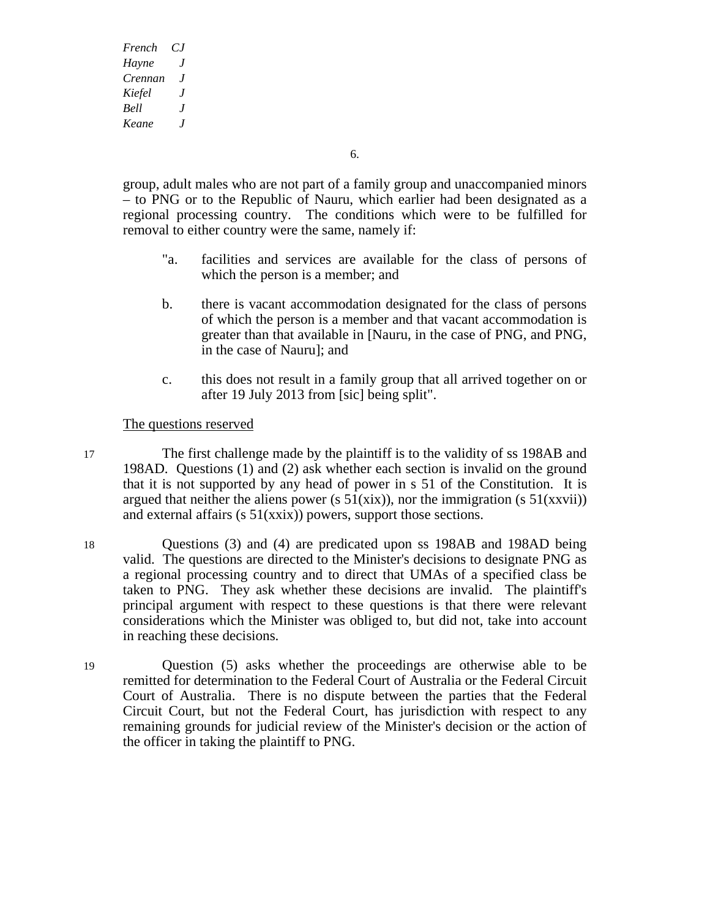6.

group, adult males who are not part of a family group and unaccompanied minors – to PNG or to the Republic of Nauru, which earlier had been designated as a regional processing country. The conditions which were to be fulfilled for removal to either country were the same, namely if:

- "a. facilities and services are available for the class of persons of which the person is a member; and
- b. there is vacant accommodation designated for the class of persons of which the person is a member and that vacant accommodation is greater than that available in [Nauru, in the case of PNG, and PNG, in the case of Nauru]; and
- c. this does not result in a family group that all arrived together on or after 19 July 2013 from [sic] being split".

The questions reserved

- 17 The first challenge made by the plaintiff is to the validity of ss 198AB and 198AD. Questions (1) and (2) ask whether each section is invalid on the ground that it is not supported by any head of power in s 51 of the Constitution. It is argued that neither the aliens power (s  $51(xix)$ ), nor the immigration (s  $51(xxvii)$ ) and external affairs ( $s \frac{51}{\{xxix\}}$ ) powers, support those sections.
- 18 Questions (3) and (4) are predicated upon ss 198AB and 198AD being valid. The questions are directed to the Minister's decisions to designate PNG as a regional processing country and to direct that UMAs of a specified class be taken to PNG. They ask whether these decisions are invalid. The plaintiff's principal argument with respect to these questions is that there were relevant considerations which the Minister was obliged to, but did not, take into account in reaching these decisions.
- 19 Question (5) asks whether the proceedings are otherwise able to be remitted for determination to the Federal Court of Australia or the Federal Circuit Court of Australia. There is no dispute between the parties that the Federal Circuit Court, but not the Federal Court, has jurisdiction with respect to any remaining grounds for judicial review of the Minister's decision or the action of the officer in taking the plaintiff to PNG.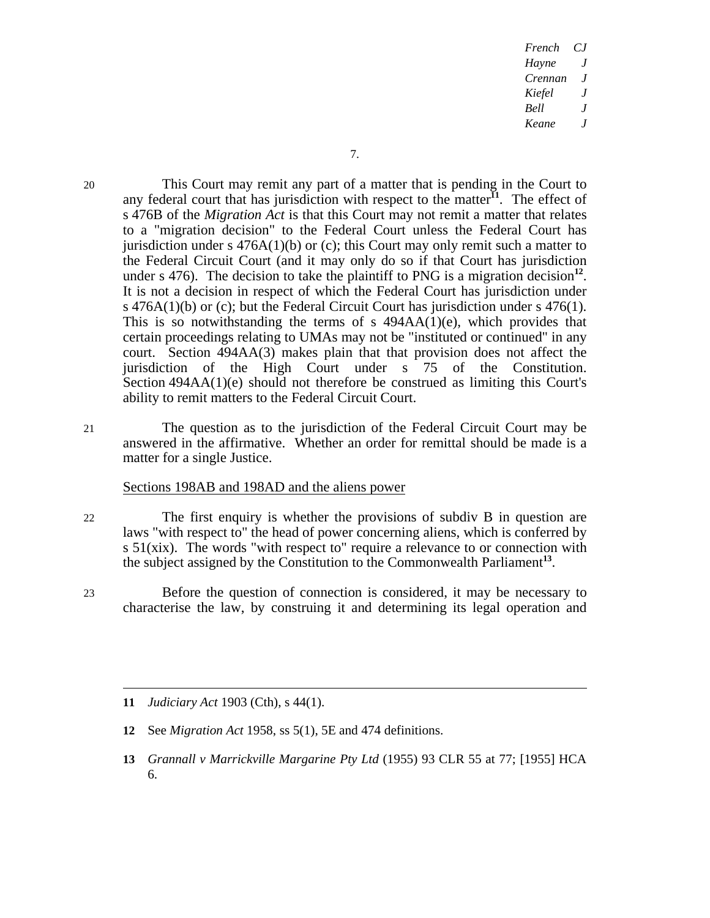20 This Court may remit any part of a matter that is pending in the Court to any federal court that has jurisdiction with respect to the matter<sup> $I_1$ </sup>. The effect of s 476B of the *Migration Act* is that this Court may not remit a matter that relates to a "migration decision" to the Federal Court unless the Federal Court has jurisdiction under s  $476A(1)(b)$  or (c); this Court may only remit such a matter to the Federal Circuit Court (and it may only do so if that Court has jurisdiction under s 476). The decision to take the plaintiff to PNG is a migration decision<sup>12</sup>. It is not a decision in respect of which the Federal Court has jurisdiction under s 476A(1)(b) or (c); but the Federal Circuit Court has jurisdiction under s 476(1). This is so notwithstanding the terms of s  $494AA(1)(e)$ , which provides that certain proceedings relating to UMAs may not be "instituted or continued" in any court. Section 494AA(3) makes plain that that provision does not affect the jurisdiction of the High Court under s 75 of the Constitution. Section 494AA(1)(e) should not therefore be construed as limiting this Court's ability to remit matters to the Federal Circuit Court.

21 The question as to the jurisdiction of the Federal Circuit Court may be answered in the affirmative. Whether an order for remittal should be made is a matter for a single Justice.

#### Sections 198AB and 198AD and the aliens power

- 22 The first enquiry is whether the provisions of subdiv B in question are laws "with respect to" the head of power concerning aliens, which is conferred by s 51(xix). The words "with respect to" require a relevance to or connection with the subject assigned by the Constitution to the Commonwealth Parliament**<sup>13</sup>**.
- 23 Before the question of connection is considered, it may be necessary to characterise the law, by construing it and determining its legal operation and

**11** *Judiciary Act* 1903 (Cth), s 44(1).

 $\overline{a}$ 

- **12** See *Migration Act* 1958, ss 5(1), 5E and 474 definitions.
- **13** *Grannall v Marrickville Margarine Pty Ltd* (1955) 93 CLR 55 at 77; [1955] HCA 6.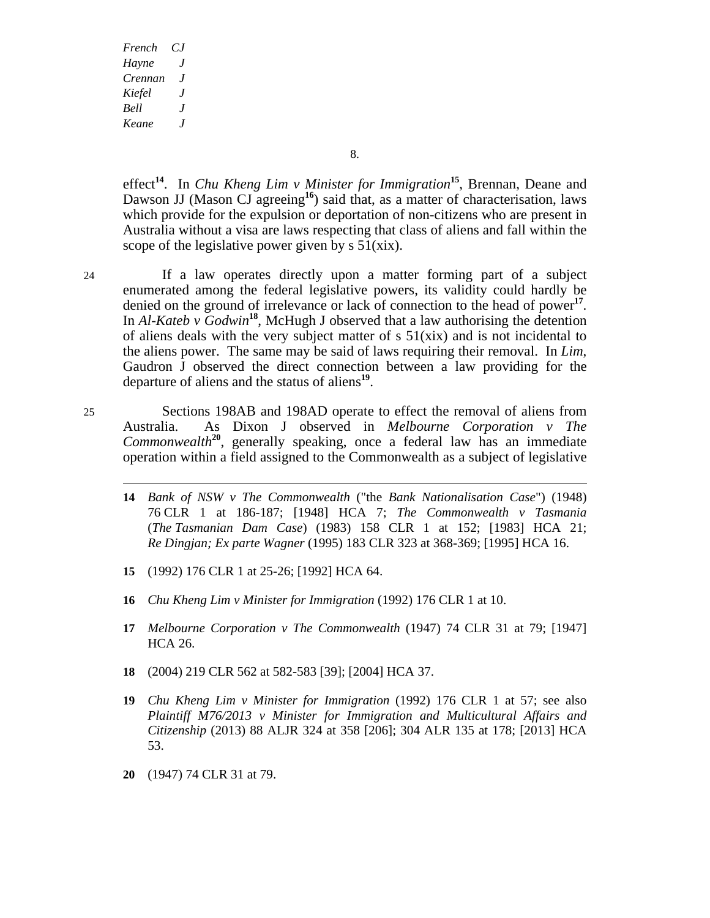effect**<sup>14</sup>**. In *Chu Kheng Lim v Minister for Immigration***<sup>15</sup>**, Brennan, Deane and Dawson JJ (Mason CJ agreeing<sup>16</sup>) said that, as a matter of characterisation, laws which provide for the expulsion or deportation of non-citizens who are present in Australia without a visa are laws respecting that class of aliens and fall within the scope of the legislative power given by  $s \frac{51}{x^2}$ .

24 If a law operates directly upon a matter forming part of a subject enumerated among the federal legislative powers, its validity could hardly be denied on the ground of irrelevance or lack of connection to the head of power**<sup>17</sup>**. In *Al-Kateb v Godwin***<sup>18</sup>**, McHugh J observed that a law authorising the detention of aliens deals with the very subject matter of  $s \sim 51(xix)$  and is not incidental to the aliens power. The same may be said of laws requiring their removal. In *Lim*, Gaudron J observed the direct connection between a law providing for the departure of aliens and the status of aliens**<sup>19</sup>**.

25 Sections 198AB and 198AD operate to effect the removal of aliens from Australia. As Dixon J observed in *Melbourne Corporation v The Commonwealth***<sup>20</sup>**, generally speaking, once a federal law has an immediate operation within a field assigned to the Commonwealth as a subject of legislative

- **14** *Bank of NSW v The Commonwealth* ("the *Bank Nationalisation Case*") (1948) 76 CLR 1 at 186-187; [1948] HCA 7; *The Commonwealth v Tasmania*  (*The Tasmanian Dam Case*) (1983) 158 CLR 1 at 152; [1983] HCA 21; *Re Dingjan; Ex parte Wagner* (1995) 183 CLR 323 at 368-369; [1995] HCA 16.
- **15** (1992) 176 CLR 1 at 25-26; [1992] HCA 64.
- **16** *Chu Kheng Lim v Minister for Immigration* (1992) 176 CLR 1 at 10.
- **17** *Melbourne Corporation v The Commonwealth* (1947) 74 CLR 31 at 79; [1947] HCA 26.
- **18** (2004) 219 CLR 562 at 582-583 [39]; [2004] HCA 37.
- **19** *Chu Kheng Lim v Minister for Immigration* (1992) 176 CLR 1 at 57; see also *Plaintiff M76/2013 v Minister for Immigration and Multicultural Affairs and Citizenship* (2013) 88 ALJR 324 at 358 [206]; 304 ALR 135 at 178; [2013] HCA 53.
- **20** (1947) 74 CLR 31 at 79.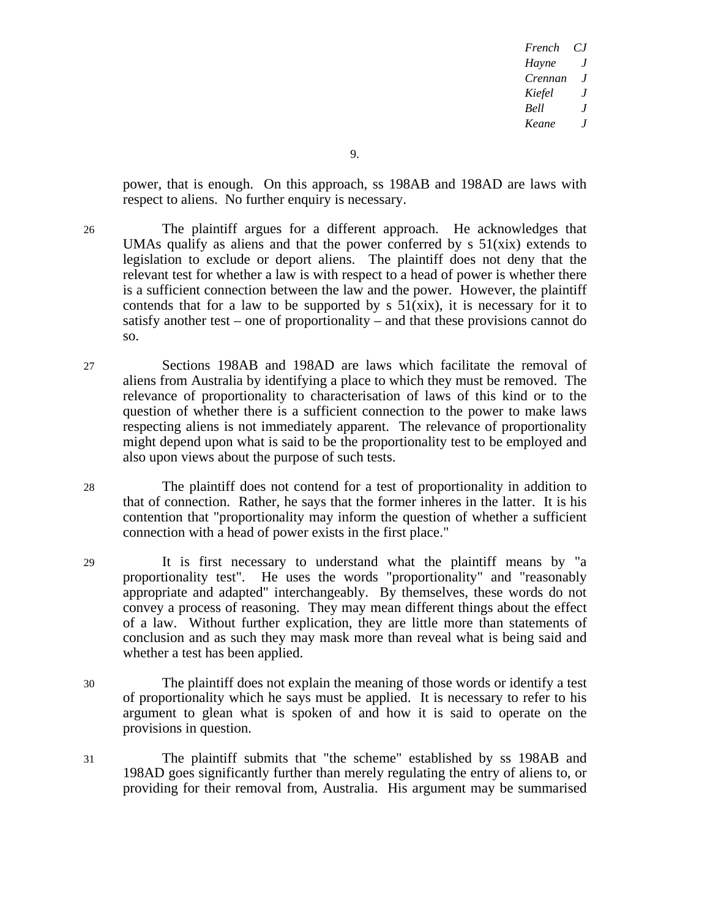power, that is enough. On this approach, ss 198AB and 198AD are laws with respect to aliens. No further enquiry is necessary.

- 26 The plaintiff argues for a different approach. He acknowledges that UMAs qualify as aliens and that the power conferred by  $s \frac{51}{x^2}$  extends to legislation to exclude or deport aliens. The plaintiff does not deny that the relevant test for whether a law is with respect to a head of power is whether there is a sufficient connection between the law and the power. However, the plaintiff contends that for a law to be supported by  $s$  51(xix), it is necessary for it to satisfy another test – one of proportionality – and that these provisions cannot do so.
- 27 Sections 198AB and 198AD are laws which facilitate the removal of aliens from Australia by identifying a place to which they must be removed. The relevance of proportionality to characterisation of laws of this kind or to the question of whether there is a sufficient connection to the power to make laws respecting aliens is not immediately apparent. The relevance of proportionality might depend upon what is said to be the proportionality test to be employed and also upon views about the purpose of such tests.
- 28 The plaintiff does not contend for a test of proportionality in addition to that of connection. Rather, he says that the former inheres in the latter. It is his contention that "proportionality may inform the question of whether a sufficient connection with a head of power exists in the first place."
- 29 It is first necessary to understand what the plaintiff means by "a proportionality test". He uses the words "proportionality" and "reasonably appropriate and adapted" interchangeably. By themselves, these words do not convey a process of reasoning. They may mean different things about the effect of a law. Without further explication, they are little more than statements of conclusion and as such they may mask more than reveal what is being said and whether a test has been applied.
- 30 The plaintiff does not explain the meaning of those words or identify a test of proportionality which he says must be applied. It is necessary to refer to his argument to glean what is spoken of and how it is said to operate on the provisions in question.
- 31 The plaintiff submits that "the scheme" established by ss 198AB and 198AD goes significantly further than merely regulating the entry of aliens to, or providing for their removal from, Australia. His argument may be summarised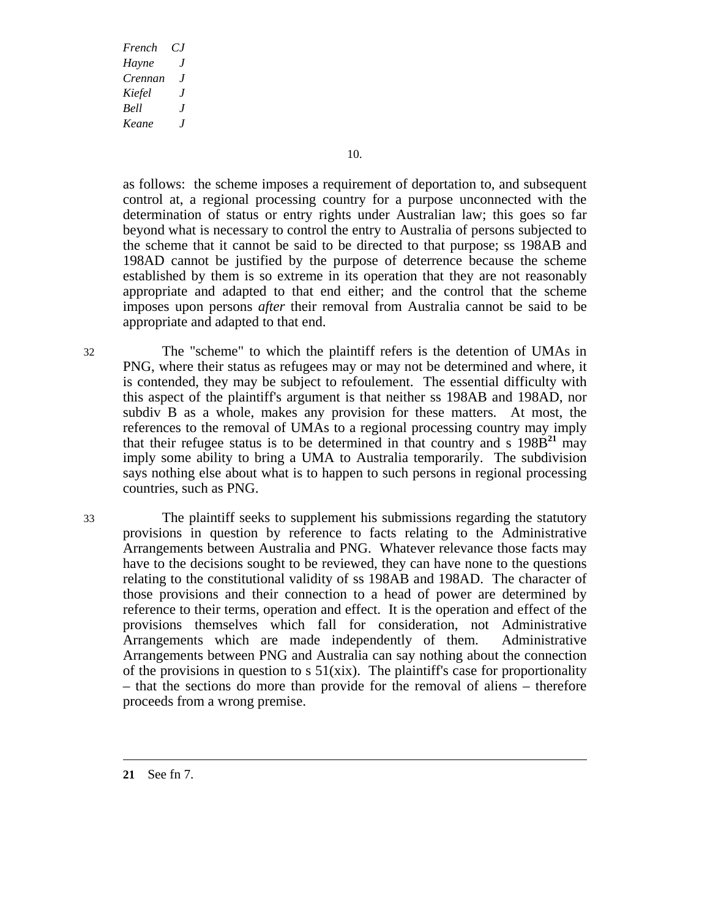10.

as follows: the scheme imposes a requirement of deportation to, and subsequent control at, a regional processing country for a purpose unconnected with the determination of status or entry rights under Australian law; this goes so far beyond what is necessary to control the entry to Australia of persons subjected to the scheme that it cannot be said to be directed to that purpose; ss 198AB and 198AD cannot be justified by the purpose of deterrence because the scheme established by them is so extreme in its operation that they are not reasonably appropriate and adapted to that end either; and the control that the scheme imposes upon persons *after* their removal from Australia cannot be said to be appropriate and adapted to that end.

32 The "scheme" to which the plaintiff refers is the detention of UMAs in PNG, where their status as refugees may or may not be determined and where, it is contended, they may be subject to refoulement. The essential difficulty with this aspect of the plaintiff's argument is that neither ss 198AB and 198AD, nor subdiv B as a whole, makes any provision for these matters. At most, the references to the removal of UMAs to a regional processing country may imply that their refugee status is to be determined in that country and s  $198B<sup>21</sup>$  may imply some ability to bring a UMA to Australia temporarily. The subdivision says nothing else about what is to happen to such persons in regional processing countries, such as PNG.

33 The plaintiff seeks to supplement his submissions regarding the statutory provisions in question by reference to facts relating to the Administrative Arrangements between Australia and PNG. Whatever relevance those facts may have to the decisions sought to be reviewed, they can have none to the questions relating to the constitutional validity of ss 198AB and 198AD. The character of those provisions and their connection to a head of power are determined by reference to their terms, operation and effect. It is the operation and effect of the provisions themselves which fall for consideration, not Administrative Arrangements which are made independently of them. Administrative Arrangements between PNG and Australia can say nothing about the connection of the provisions in question to s  $51(xix)$ . The plaintiff's case for proportionality – that the sections do more than provide for the removal of aliens – therefore proceeds from a wrong premise.

**21** See fn 7.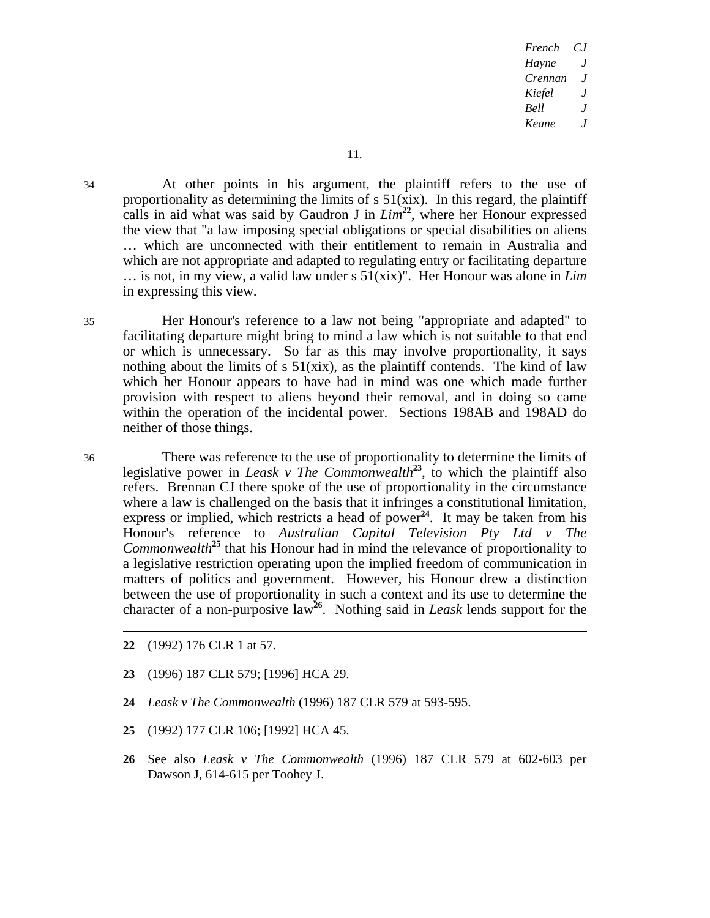34 At other points in his argument, the plaintiff refers to the use of proportionality as determining the limits of  $s \frac{51}{x}$ . In this regard, the plaintiff calls in aid what was said by Gaudron J in  $Lim^{22}$ , where her Honour expressed the view that "a law imposing special obligations or special disabilities on aliens … which are unconnected with their entitlement to remain in Australia and which are not appropriate and adapted to regulating entry or facilitating departure … is not, in my view, a valid law under s 51(xix)". Her Honour was alone in *Lim*  in expressing this view.

35 Her Honour's reference to a law not being "appropriate and adapted" to facilitating departure might bring to mind a law which is not suitable to that end or which is unnecessary. So far as this may involve proportionality, it says nothing about the limits of  $s \frac{51}{x}$ , as the plaintiff contends. The kind of law which her Honour appears to have had in mind was one which made further provision with respect to aliens beyond their removal, and in doing so came within the operation of the incidental power. Sections 198AB and 198AD do neither of those things.

36 There was reference to the use of proportionality to determine the limits of legislative power in *Leask v The Commonwealth*<sup>23</sup>, to which the plaintiff also refers. Brennan CJ there spoke of the use of proportionality in the circumstance where a law is challenged on the basis that it infringes a constitutional limitation, express or implied, which restricts a head of power<sup>24</sup>. It may be taken from his Honour's reference to *Australian Capital Television Pty Ltd v The Commonwealth***<sup>25</sup>** that his Honour had in mind the relevance of proportionality to a legislative restriction operating upon the implied freedom of communication in matters of politics and government. However, his Honour drew a distinction between the use of proportionality in such a context and its use to determine the character of a non-purposive law<sup>26</sup>. Nothing said in *Leask* lends support for the

- **22** (1992) 176 CLR 1 at 57.
- **23** (1996) 187 CLR 579; [1996] HCA 29.
- **24** *Leask v The Commonwealth* (1996) 187 CLR 579 at 593-595.
- **25** (1992) 177 CLR 106; [1992] HCA 45.
- **26** See also *Leask v The Commonwealth* (1996) 187 CLR 579 at 602-603 per Dawson J, 614-615 per Toohey J.

l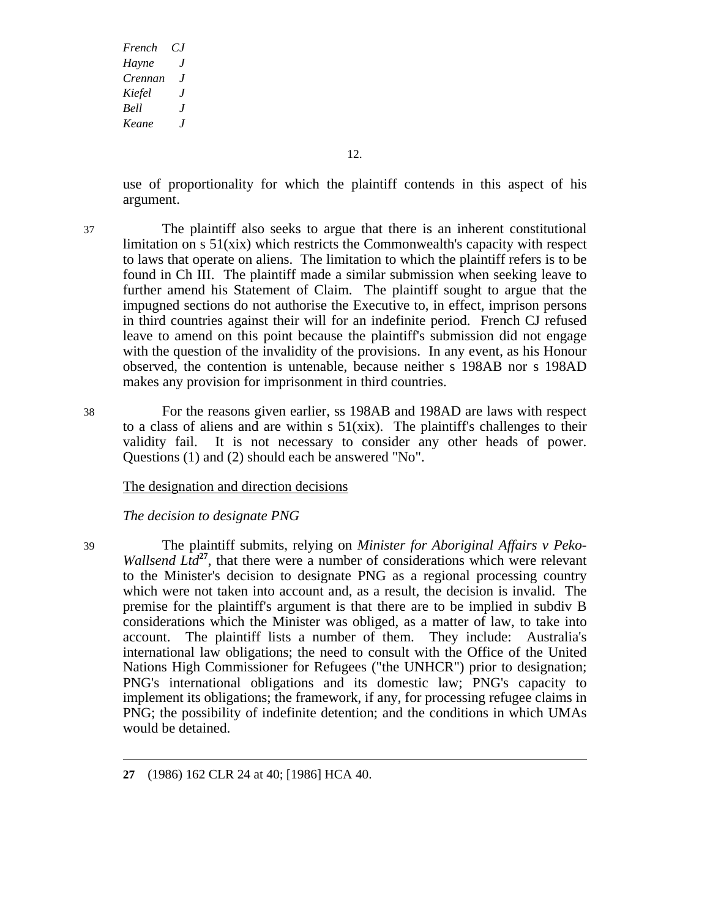12.

use of proportionality for which the plaintiff contends in this aspect of his argument.

- 37 The plaintiff also seeks to argue that there is an inherent constitutional limitation on s 51(xix) which restricts the Commonwealth's capacity with respect to laws that operate on aliens. The limitation to which the plaintiff refers is to be found in Ch III. The plaintiff made a similar submission when seeking leave to further amend his Statement of Claim. The plaintiff sought to argue that the impugned sections do not authorise the Executive to, in effect, imprison persons in third countries against their will for an indefinite period. French CJ refused leave to amend on this point because the plaintiff's submission did not engage with the question of the invalidity of the provisions. In any event, as his Honour observed, the contention is untenable, because neither s 198AB nor s 198AD makes any provision for imprisonment in third countries.
- 38 For the reasons given earlier, ss 198AB and 198AD are laws with respect to a class of aliens and are within  $s \frac{51}{x}$ . The plaintiff's challenges to their validity fail. It is not necessary to consider any other heads of power. Questions (1) and (2) should each be answered "No".

## The designation and direction decisions

## *The decision to designate PNG*

39 The plaintiff submits, relying on *Minister for Aboriginal Affairs v Peko-Wallsend Ltd*<sup>27</sup>, that there were a number of considerations which were relevant to the Minister's decision to designate PNG as a regional processing country which were not taken into account and, as a result, the decision is invalid. The premise for the plaintiff's argument is that there are to be implied in subdiv B considerations which the Minister was obliged, as a matter of law, to take into account. The plaintiff lists a number of them. They include: Australia's international law obligations; the need to consult with the Office of the United Nations High Commissioner for Refugees ("the UNHCR") prior to designation; PNG's international obligations and its domestic law; PNG's capacity to implement its obligations; the framework, if any, for processing refugee claims in PNG; the possibility of indefinite detention; and the conditions in which UMAs would be detained.

**<sup>27</sup>** (1986) 162 CLR 24 at 40; [1986] HCA 40.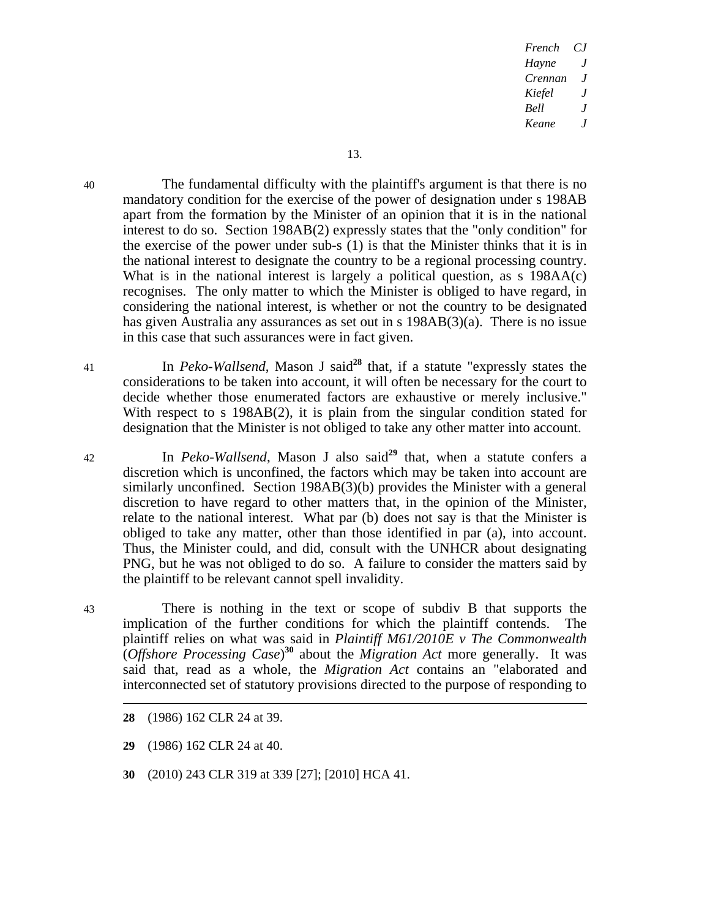40 The fundamental difficulty with the plaintiff's argument is that there is no mandatory condition for the exercise of the power of designation under s 198AB apart from the formation by the Minister of an opinion that it is in the national interest to do so. Section 198AB(2) expressly states that the "only condition" for the exercise of the power under sub-s (1) is that the Minister thinks that it is in the national interest to designate the country to be a regional processing country. What is in the national interest is largely a political question, as s 198AA(c) recognises. The only matter to which the Minister is obliged to have regard, in considering the national interest, is whether or not the country to be designated has given Australia any assurances as set out in s 198AB(3)(a). There is no issue in this case that such assurances were in fact given.

41 In *Peko-Wallsend*, Mason J said**<sup>28</sup>** that, if a statute "expressly states the considerations to be taken into account, it will often be necessary for the court to decide whether those enumerated factors are exhaustive or merely inclusive." With respect to s 198AB(2), it is plain from the singular condition stated for designation that the Minister is not obliged to take any other matter into account.

42 In *Peko-Wallsend*, Mason J also said**<sup>29</sup>** that, when a statute confers a discretion which is unconfined, the factors which may be taken into account are similarly unconfined. Section 198AB(3)(b) provides the Minister with a general discretion to have regard to other matters that, in the opinion of the Minister, relate to the national interest. What par (b) does not say is that the Minister is obliged to take any matter, other than those identified in par (a), into account. Thus, the Minister could, and did, consult with the UNHCR about designating PNG, but he was not obliged to do so. A failure to consider the matters said by the plaintiff to be relevant cannot spell invalidity.

43 There is nothing in the text or scope of subdiv B that supports the implication of the further conditions for which the plaintiff contends. The plaintiff relies on what was said in *Plaintiff M61/2010E v The Commonwealth*  (*Offshore Processing Case*) **<sup>30</sup>** about the *Migration Act* more generally. It was said that, read as a whole, the *Migration Act* contains an "elaborated and interconnected set of statutory provisions directed to the purpose of responding to

- **28** (1986) 162 CLR 24 at 39.
- **29** (1986) 162 CLR 24 at 40.
- **30** (2010) 243 CLR 319 at 339 [27]; [2010] HCA 41.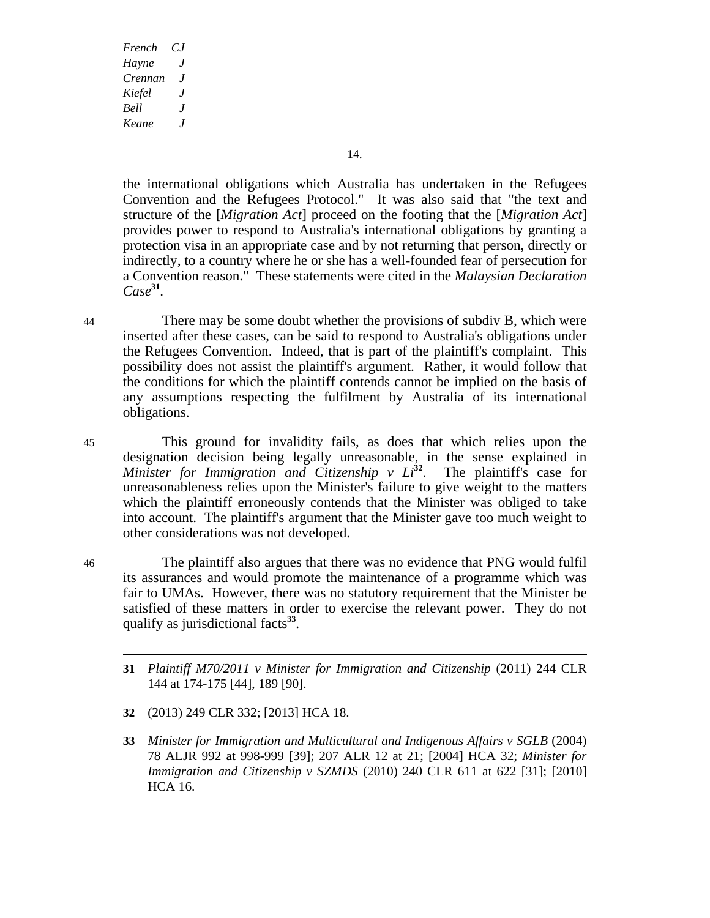14.

the international obligations which Australia has undertaken in the Refugees Convention and the Refugees Protocol." It was also said that "the text and structure of the [*Migration Act*] proceed on the footing that the [*Migration Act*] provides power to respond to Australia's international obligations by granting a protection visa in an appropriate case and by not returning that person, directly or indirectly, to a country where he or she has a well-founded fear of persecution for a Convention reason." These statements were cited in the *Malaysian Declaration Case***<sup>31</sup>**.

44 There may be some doubt whether the provisions of subdiv B, which were inserted after these cases, can be said to respond to Australia's obligations under the Refugees Convention. Indeed, that is part of the plaintiff's complaint. This possibility does not assist the plaintiff's argument. Rather, it would follow that the conditions for which the plaintiff contends cannot be implied on the basis of any assumptions respecting the fulfilment by Australia of its international obligations.

- 45 This ground for invalidity fails, as does that which relies upon the designation decision being legally unreasonable, in the sense explained in *Minister for Immigration and Citizenship v*  $Li^{32}$ *.* The plaintiff's case for unreasonableness relies upon the Minister's failure to give weight to the matters which the plaintiff erroneously contends that the Minister was obliged to take into account. The plaintiff's argument that the Minister gave too much weight to other considerations was not developed.
- 46 The plaintiff also argues that there was no evidence that PNG would fulfil its assurances and would promote the maintenance of a programme which was fair to UMAs. However, there was no statutory requirement that the Minister be satisfied of these matters in order to exercise the relevant power. They do not qualify as jurisdictional facts**<sup>33</sup>**.
	- **31** *Plaintiff M70/2011 v Minister for Immigration and Citizenship* (2011) 244 CLR 144 at 174-175 [44], 189 [90].
	- **32** (2013) 249 CLR 332; [2013] HCA 18.
	- **33** *Minister for Immigration and Multicultural and Indigenous Affairs v SGLB* (2004) 78 ALJR 992 at 998-999 [39]; 207 ALR 12 at 21; [2004] HCA 32; *Minister for Immigration and Citizenship v SZMDS* (2010) 240 CLR 611 at 622 [31]; [2010] HCA 16.

 $\overline{a}$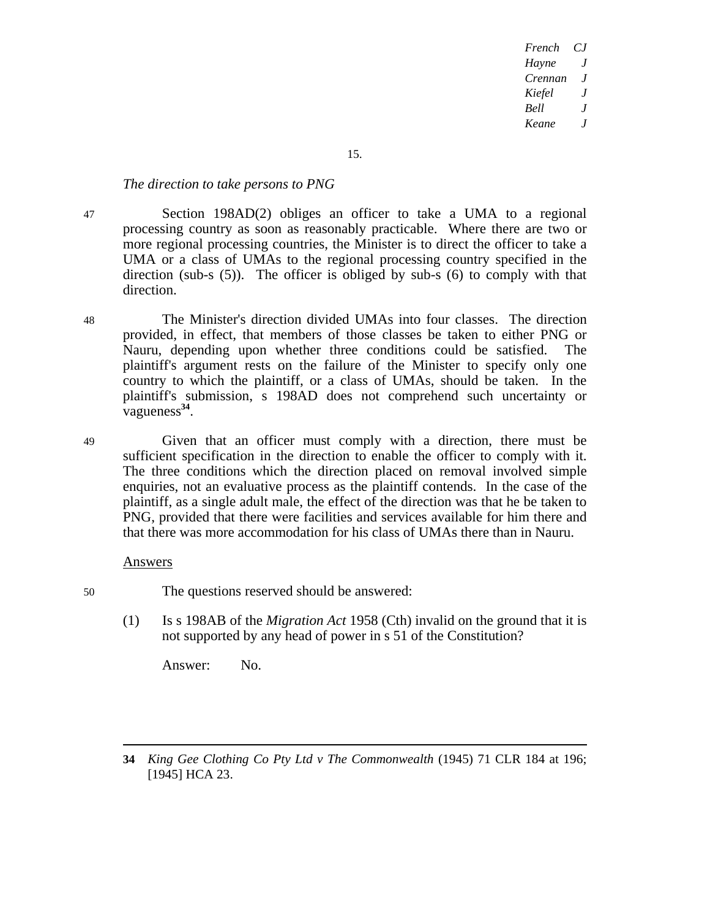15.

#### *The direction to take persons to PNG*

47 Section 198AD(2) obliges an officer to take a UMA to a regional processing country as soon as reasonably practicable. Where there are two or more regional processing countries, the Minister is to direct the officer to take a UMA or a class of UMAs to the regional processing country specified in the direction (sub-s (5)). The officer is obliged by sub-s (6) to comply with that direction.

48 The Minister's direction divided UMAs into four classes. The direction provided, in effect, that members of those classes be taken to either PNG or Nauru, depending upon whether three conditions could be satisfied. The plaintiff's argument rests on the failure of the Minister to specify only one country to which the plaintiff, or a class of UMAs, should be taken. In the plaintiff's submission, s 198AD does not comprehend such uncertainty or vagueness**<sup>34</sup>**.

49 Given that an officer must comply with a direction, there must be sufficient specification in the direction to enable the officer to comply with it. The three conditions which the direction placed on removal involved simple enquiries, not an evaluative process as the plaintiff contends. In the case of the plaintiff, as a single adult male, the effect of the direction was that he be taken to PNG, provided that there were facilities and services available for him there and that there was more accommodation for his class of UMAs there than in Nauru.

## Answers

- 50 The questions reserved should be answered:
	- (1) Is s 198AB of the *Migration Act* 1958 (Cth) invalid on the ground that it is not supported by any head of power in s 51 of the Constitution?

Answer: No.

**34** *King Gee Clothing Co Pty Ltd v The Commonwealth* (1945) 71 CLR 184 at 196; [1945] HCA 23.